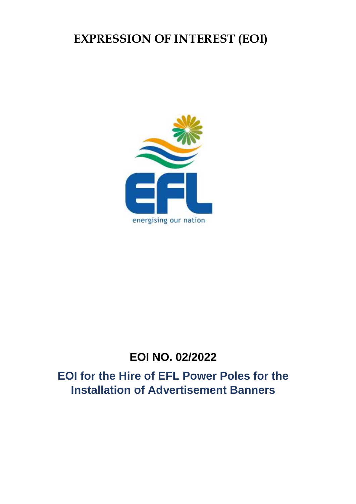# **EXPRESSION OF INTEREST (EOI)**



## **EOI NO. 02/2022**

**EOI for the Hire of EFL Power Poles for the Installation of Advertisement Banners**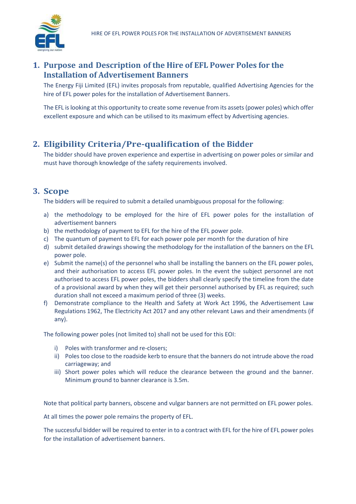

#### **1. Purpose and Description of the Hire of EFL Power Poles for the Installation of Advertisement Banners**

The Energy Fiji Limited (EFL) invites proposals from reputable, qualified Advertising Agencies for the hire of EFL power poles for the installation of Advertisement Banners.

The EFL is looking at this opportunity to create some revenue from its assets (power poles) which offer excellent exposure and which can be utilised to its maximum effect by Advertising agencies.

#### **2. Eligibility Criteria/Pre-qualification of the Bidder**

The bidder should have proven experience and expertise in advertising on power poles or similar and must have thorough knowledge of the safety requirements involved.

#### **3. Scope**

The bidders will be required to submit a detailed unambiguous proposal for the following:

- a) the methodology to be employed for the hire of EFL power poles for the installation of advertisement banners
- b) the methodology of payment to EFL for the hire of the EFL power pole.
- c) The quantum of payment to EFL for each power pole per month for the duration of hire
- d) submit detailed drawings showing the methodology for the installation of the banners on the EFL power pole.
- e) Submit the name(s) of the personnel who shall be installing the banners on the EFL power poles, and their authorisation to access EFL power poles. In the event the subject personnel are not authorised to access EFL power poles, the bidders shall clearly specify the timeline from the date of a provisional award by when they will get their personnel authorised by EFL as required; such duration shall not exceed a maximum period of three (3) weeks.
- f) Demonstrate compliance to the Health and Safety at Work Act 1996, the Advertisement Law Regulations 1962, The Electricity Act 2017 and any other relevant Laws and their amendments (if any).

The following power poles (not limited to) shall not be used for this EOI:

- i) Poles with transformer and re-closers;
- ii) Poles too close to the roadside kerb to ensure that the banners do not intrude above the road carriageway; and
- iii) Short power poles which will reduce the clearance between the ground and the banner. Minimum ground to banner clearance is 3.5m.

Note that political party banners, obscene and vulgar banners are not permitted on EFL power poles.

At all times the power pole remains the property of EFL.

The successful bidder will be required to enter in to a contract with EFL for the hire of EFL power poles for the installation of advertisement banners.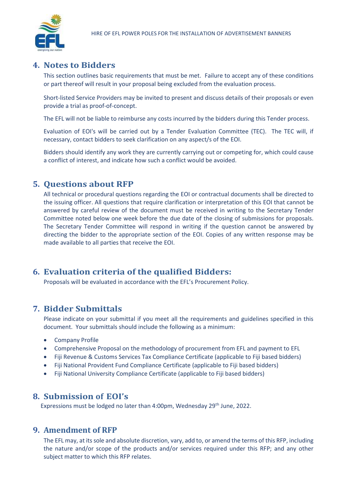

#### **4. Notes to Bidders**

This section outlines basic requirements that must be met. Failure to accept any of these conditions or part thereof will result in your proposal being excluded from the evaluation process.

Short-listed Service Providers may be invited to present and discuss details of their proposals or even provide a trial as proof-of-concept.

The EFL will not be liable to reimburse any costs incurred by the bidders during this Tender process.

Evaluation of EOI's will be carried out by a Tender Evaluation Committee (TEC). The TEC will, if necessary, contact bidders to seek clarification on any aspect/s of the EOI.

Bidders should identify any work they are currently carrying out or competing for, which could cause a conflict of interest, and indicate how such a conflict would be avoided.

#### **5. Questions about RFP**

All technical or procedural questions regarding the EOI or contractual documents shall be directed to the issuing officer. All questions that require clarification or interpretation of this EOI that cannot be answered by careful review of the document must be received in writing to the Secretary Tender Committee noted below one week before the due date of the closing of submissions for proposals. The Secretary Tender Committee will respond in writing if the question cannot be answered by directing the bidder to the appropriate section of the EOI. Copies of any written response may be made available to all parties that receive the EOI.

#### **6. Evaluation criteria of the qualified Bidders:**

Proposals will be evaluated in accordance with the EFL's Procurement Policy.

#### **7. Bidder Submittals**

Please indicate on your submittal if you meet all the requirements and guidelines specified in this document. Your submittals should include the following as a minimum:

- Company Profile
- Comprehensive Proposal on the methodology of procurement from EFL and payment to EFL
- Fiji Revenue & Customs Services Tax Compliance Certificate (applicable to Fiji based bidders)
- Fiji National Provident Fund Compliance Certificate (applicable to Fiji based bidders)
- Fiji National University Compliance Certificate (applicable to Fiji based bidders)

#### **8. Submission of EOI's**

Expressions must be lodged no later than 4:00pm, Wednesday 29<sup>th</sup> June, 2022.

#### **9. Amendment of RFP**

The EFL may, at its sole and absolute discretion, vary, add to, or amend the terms of this RFP, including the nature and/or scope of the products and/or services required under this RFP; and any other subject matter to which this RFP relates.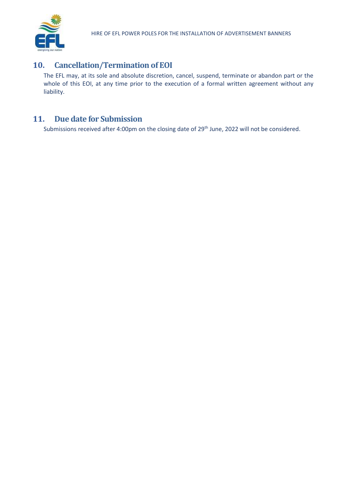

#### **10. Cancellation/Termination of EOI**

The EFL may, at its sole and absolute discretion, cancel, suspend, terminate or abandon part or the whole of this EOI, at any time prior to the execution of a formal written agreement without any liability.

#### **11. Due date for Submission**

Submissions received after 4:00pm on the closing date of 29<sup>th</sup> June, 2022 will not be considered.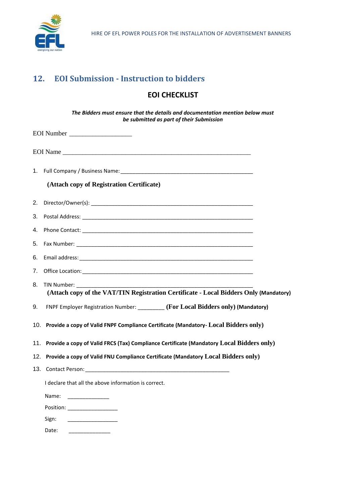

### **12. EOI Submission - Instruction to bidders**

#### **EOI CHECKLIST**

*The Bidders must ensure that the details and documentation mention below must be submitted as part of their Submission*

|    | EOI Name                                                                                             |
|----|------------------------------------------------------------------------------------------------------|
|    |                                                                                                      |
|    | (Attach copy of Registration Certificate)                                                            |
| 2. |                                                                                                      |
| 3. |                                                                                                      |
| 4. |                                                                                                      |
| 5. |                                                                                                      |
| 6. |                                                                                                      |
| 7. |                                                                                                      |
| 8. | TIN Number:<br>(Attach copy of the VAT/TIN Registration Certificate - Local Bidders Only (Mandatory) |
| 9. | FNPF Employer Registration Number: ________ (For Local Bidders only) (Mandatory)                     |
|    | 10. Provide a copy of Valid FNPF Compliance Certificate (Mandatory- Local Bidders only)              |
|    | 11. Provide a copy of Valid FRCS (Tax) Compliance Certificate (Mandatory Local Bidders only)         |
|    | 12. Provide a copy of Valid FNU Compliance Certificate (Mandatory Local Bidders only)                |
|    |                                                                                                      |
|    | I declare that all the above information is correct.                                                 |
|    | Name:                                                                                                |
|    |                                                                                                      |
|    | Sign:<br><u> 1989 - Jan Barbara Barbara, manazarta </u>                                              |
|    | Date:                                                                                                |